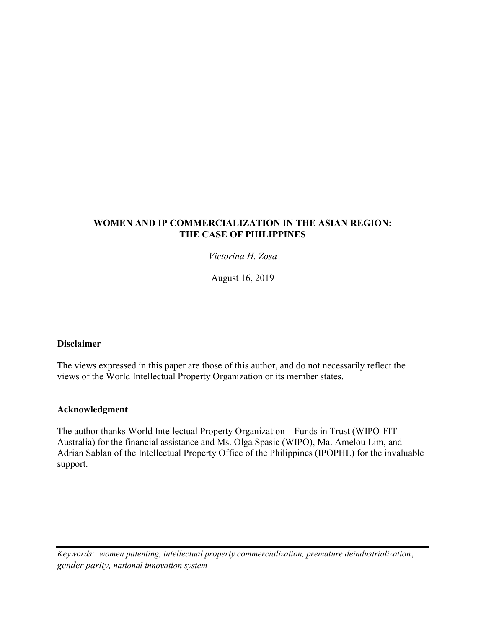## WOMEN AND IP COMMERCIALIZATION IN THE ASIAN REGION: THE CASE OF PHILIPPINES

Victorina H. Zosa

August 16, 2019

## Disclaimer

The views expressed in this paper are those of this author, and do not necessarily reflect the views of the World Intellectual Property Organization or its member states.

### Acknowledgment

The author thanks World Intellectual Property Organization – Funds in Trust (WIPO-FIT Australia) for the financial assistance and Ms. Olga Spasic (WIPO), Ma. Amelou Lim, and Adrian Sablan of the Intellectual Property Office of the Philippines (IPOPHL) for the invaluable support.

Keywords: women patenting, intellectual property commercialization, premature deindustrialization, gender parity, national innovation system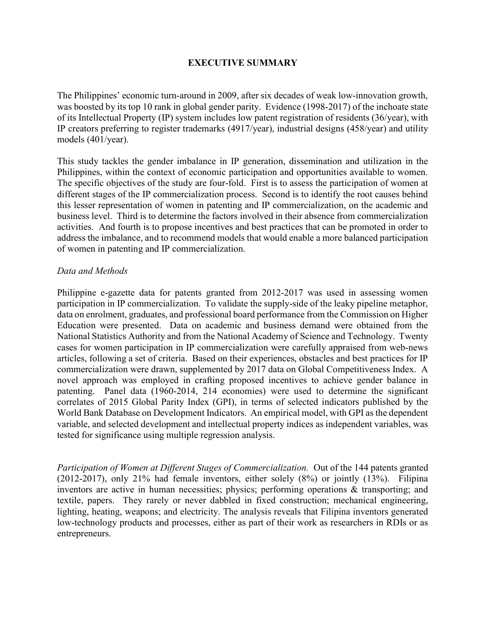## EXECUTIVE SUMMARY

The Philippines' economic turn-around in 2009, after six decades of weak low-innovation growth, was boosted by its top 10 rank in global gender parity. Evidence (1998-2017) of the inchoate state of its Intellectual Property (IP) system includes low patent registration of residents (36/year), with IP creators preferring to register trademarks (4917/year), industrial designs (458/year) and utility models (401/year).

This study tackles the gender imbalance in IP generation, dissemination and utilization in the Philippines, within the context of economic participation and opportunities available to women. The specific objectives of the study are four-fold. First is to assess the participation of women at different stages of the IP commercialization process. Second is to identify the root causes behind this lesser representation of women in patenting and IP commercialization, on the academic and business level. Third is to determine the factors involved in their absence from commercialization activities. And fourth is to propose incentives and best practices that can be promoted in order to address the imbalance, and to recommend models that would enable a more balanced participation of women in patenting and IP commercialization.

### Data and Methods

Philippine e-gazette data for patents granted from 2012-2017 was used in assessing women participation in IP commercialization. To validate the supply-side of the leaky pipeline metaphor, data on enrolment, graduates, and professional board performance from the Commission on Higher Education were presented. Data on academic and business demand were obtained from the National Statistics Authority and from the National Academy of Science and Technology. Twenty cases for women participation in IP commercialization were carefully appraised from web-news articles, following a set of criteria. Based on their experiences, obstacles and best practices for IP commercialization were drawn, supplemented by 2017 data on Global Competitiveness Index. A novel approach was employed in crafting proposed incentives to achieve gender balance in patenting. Panel data (1960-2014, 214 economies) were used to determine the significant correlates of 2015 Global Parity Index (GPI), in terms of selected indicators published by the World Bank Database on Development Indicators. An empirical model, with GPI as the dependent variable, and selected development and intellectual property indices as independent variables, was tested for significance using multiple regression analysis.

Participation of Women at Different Stages of Commercialization. Out of the 144 patents granted (2012-2017), only 21% had female inventors, either solely (8%) or jointly (13%). Filipina inventors are active in human necessities; physics; performing operations & transporting; and textile, papers. They rarely or never dabbled in fixed construction; mechanical engineering, lighting, heating, weapons; and electricity. The analysis reveals that Filipina inventors generated low-technology products and processes, either as part of their work as researchers in RDIs or as entrepreneurs.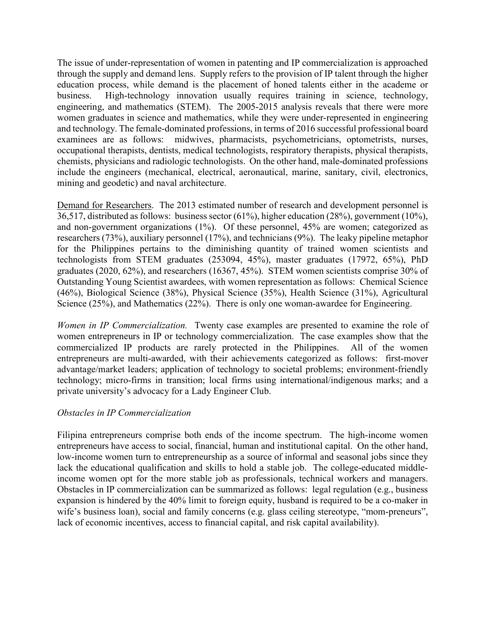The issue of under-representation of women in patenting and IP commercialization is approached through the supply and demand lens. Supply refers to the provision of IP talent through the higher education process, while demand is the placement of honed talents either in the academe or business. High-technology innovation usually requires training in science, technology, engineering, and mathematics (STEM). The 2005-2015 analysis reveals that there were more women graduates in science and mathematics, while they were under-represented in engineering and technology. The female-dominated professions, in terms of 2016 successful professional board examinees are as follows: midwives, pharmacists, psychometricians, optometrists, nurses, occupational therapists, dentists, medical technologists, respiratory therapists, physical therapists, chemists, physicians and radiologic technologists. On the other hand, male-dominated professions include the engineers (mechanical, electrical, aeronautical, marine, sanitary, civil, electronics, mining and geodetic) and naval architecture.

Demand for Researchers. The 2013 estimated number of research and development personnel is 36,517, distributed as follows: business sector (61%), higher education (28%), government (10%), and non-government organizations (1%). Of these personnel, 45% are women; categorized as researchers (73%), auxiliary personnel (17%), and technicians (9%). The leaky pipeline metaphor for the Philippines pertains to the diminishing quantity of trained women scientists and technologists from STEM graduates (253094, 45%), master graduates (17972, 65%), PhD graduates (2020, 62%), and researchers (16367, 45%). STEM women scientists comprise 30% of Outstanding Young Scientist awardees, with women representation as follows: Chemical Science (46%), Biological Science (38%), Physical Science (35%), Health Science (31%), Agricultural Science (25%), and Mathematics (22%). There is only one woman-awardee for Engineering.

Women in IP Commercialization. Twenty case examples are presented to examine the role of women entrepreneurs in IP or technology commercialization. The case examples show that the commercialized IP products are rarely protected in the Philippines. All of the women entrepreneurs are multi-awarded, with their achievements categorized as follows: first-mover advantage/market leaders; application of technology to societal problems; environment-friendly technology; micro-firms in transition; local firms using international/indigenous marks; and a private university's advocacy for a Lady Engineer Club.

### Obstacles in IP Commercialization

Filipina entrepreneurs comprise both ends of the income spectrum. The high-income women entrepreneurs have access to social, financial, human and institutional capital. On the other hand, low-income women turn to entrepreneurship as a source of informal and seasonal jobs since they lack the educational qualification and skills to hold a stable job. The college-educated middleincome women opt for the more stable job as professionals, technical workers and managers. Obstacles in IP commercialization can be summarized as follows: legal regulation (e.g., business expansion is hindered by the 40% limit to foreign equity, husband is required to be a co-maker in wife's business loan), social and family concerns (e.g. glass ceiling stereotype, "mom-preneurs", lack of economic incentives, access to financial capital, and risk capital availability).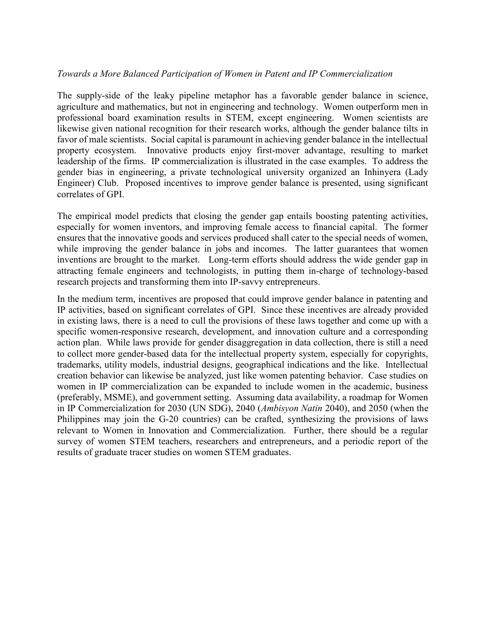### Towards a More Balanced Participation of Women in Patent and IP Commercialization

The supply-side of the leaky pipeline metaphor has a favorable gender balance in science, agriculture and mathematics, but not in engineering and technology. Women outperform men in professional board examination results in STEM, except engineering. Women scientists are likewise given national recognition for their research works, although the gender balance tilts in favor of male scientists. Social capital is paramount in achieving gender balance in the intellectual property ecosystem. Innovative products enjoy first-mover advantage, resulting to market leadership of the firms. IP commercialization is illustrated in the case examples. To address the gender bias in engineering, a private technological university organized an Inhinyera (Lady Engineer) Club. Proposed incentives to improve gender balance is presented, using significant correlates of GPI.

The empirical model predicts that closing the gender gap entails boosting patenting activities, especially for women inventors, and improving female access to financial capital. The former ensures that the innovative goods and services produced shall cater to the special needs of women, while improving the gender balance in jobs and incomes. The latter guarantees that women inventions are brought to the market. Long-term efforts should address the wide gender gap in attracting female engineers and technologists, in putting them in-charge of technology-based research projects and transforming them into IP-savvy entrepreneurs.

In the medium term, incentives are proposed that could improve gender balance in patenting and IP activities, based on significant correlates of GPI. Since these incentives are already provided in existing laws, there is a need to cull the provisions of these laws together and come up with a specific women-responsive research, development, and innovation culture and a corresponding action plan. While laws provide for gender disaggregation in data collection, there is still a need to collect more gender-based data for the intellectual property system, especially for copyrights, trademarks, utility models, industrial designs, geographical indications and the like. Intellectual creation behavior can likewise be analyzed, just like women patenting behavior. Case studies on women in IP commercialization can be expanded to include women in the academic, business (preferably, MSME), and government setting. Assuming data availability, a roadmap for Women in IP Commercialization for 2030 (UN SDG), 2040 (Ambisyon Natin 2040), and 2050 (when the Philippines may join the G-20 countries) can be crafted, synthesizing the provisions of laws relevant to Women in Innovation and Commercialization. Further, there should be a regular survey of women STEM teachers, researchers and entrepreneurs, and a periodic report of the results of graduate tracer studies on women STEM graduates.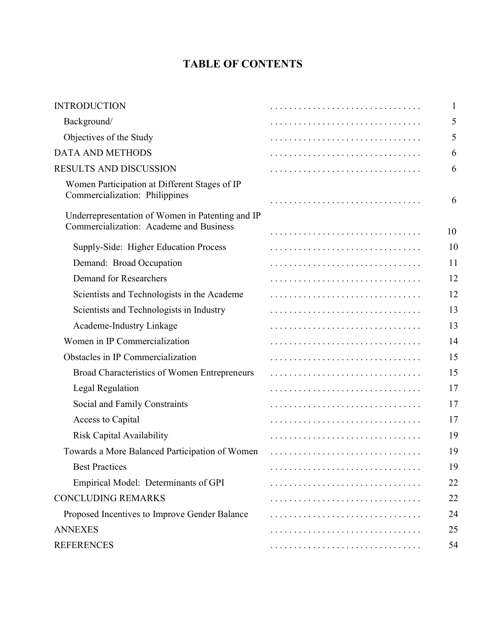# TABLE OF CONTENTS

| <b>INTRODUCTION</b>                                                                         | 1  |
|---------------------------------------------------------------------------------------------|----|
| Background/                                                                                 | 5  |
| Objectives of the Study                                                                     | 5  |
| <b>DATA AND METHODS</b>                                                                     | 6  |
| RESULTS AND DISCUSSION                                                                      | 6  |
| Women Participation at Different Stages of IP<br>Commercialization: Philippines             | 6  |
| Underrepresentation of Women in Patenting and IP<br>Commercialization: Academe and Business | 10 |
| Supply-Side: Higher Education Process                                                       | 10 |
| Demand: Broad Occupation                                                                    | 11 |
| <b>Demand for Researchers</b>                                                               | 12 |
| Scientists and Technologists in the Academe                                                 | 12 |
| Scientists and Technologists in Industry                                                    | 13 |
| Academe-Industry Linkage                                                                    | 13 |
| Women in IP Commercialization                                                               | 14 |
| Obstacles in IP Commercialization                                                           | 15 |
| Broad Characteristics of Women Entrepreneurs                                                | 15 |
| Legal Regulation                                                                            | 17 |
| Social and Family Constraints                                                               | 17 |
| Access to Capital                                                                           | 17 |
| <b>Risk Capital Availability</b>                                                            | 19 |
| Towards a More Balanced Participation of Women                                              | 19 |
| <b>Best Practices</b>                                                                       | 19 |
| Empirical Model: Determinants of GPI                                                        | 22 |
| <b>CONCLUDING REMARKS</b>                                                                   | 22 |
| Proposed Incentives to Improve Gender Balance                                               | 24 |
| <b>ANNEXES</b>                                                                              | 25 |
| <b>REFERENCES</b>                                                                           | 54 |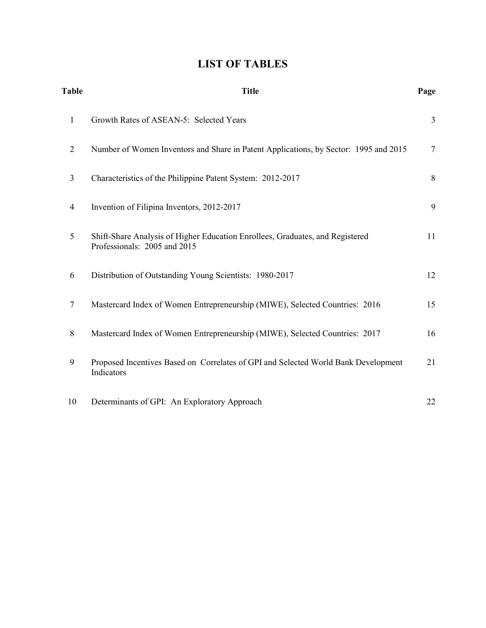# LIST OF TABLES

| <b>Table</b>   | <b>Title</b>                                                                                                  | Page           |
|----------------|---------------------------------------------------------------------------------------------------------------|----------------|
| $\mathbf{1}$   | Growth Rates of ASEAN-5: Selected Years                                                                       | $\mathfrak{Z}$ |
| 2              | Number of Women Inventors and Share in Patent Applications, by Sector: 1995 and 2015                          | $\tau$         |
| $\overline{3}$ | Characteristics of the Philippine Patent System: 2012-2017                                                    | 8              |
| $\overline{4}$ | Invention of Filipina Inventors, 2012-2017                                                                    | 9              |
| 5              | Shift-Share Analysis of Higher Education Enrollees, Graduates, and Registered<br>Professionals: 2005 and 2015 | 11             |
| 6              | Distribution of Outstanding Young Scientists: 1980-2017                                                       | 12             |
| $\tau$         | Mastercard Index of Women Entrepreneurship (MIWE), Selected Countries: 2016                                   | 15             |
| 8              | Mastercard Index of Women Entrepreneurship (MIWE), Selected Countries: 2017                                   | 16             |
| 9              | Proposed Incentives Based on Correlates of GPI and Selected World Bank Development<br>Indicators              | 21             |
| 10             | Determinants of GPI: An Exploratory Approach                                                                  | 22             |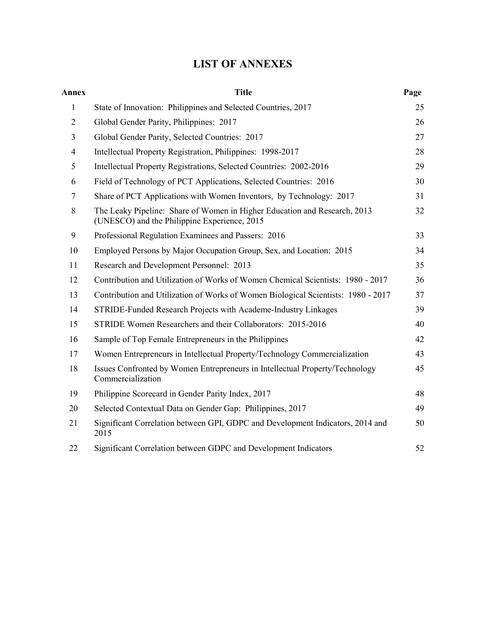# LIST OF ANNEXES

| Annex          | <b>Title</b>                                                                                                              | Page |
|----------------|---------------------------------------------------------------------------------------------------------------------------|------|
| $\mathbf{1}$   | State of Innovation: Philippines and Selected Countries, 2017                                                             | 25   |
| $\overline{2}$ | Global Gender Parity, Philippines: 2017                                                                                   | 26   |
| 3              | Global Gender Parity, Selected Countries: 2017                                                                            | 27   |
| $\overline{4}$ | Intellectual Property Registration, Philippines: 1998-2017                                                                | 28   |
| 5              | Intellectual Property Registrations, Selected Countries: 2002-2016                                                        | 29   |
| 6              | Field of Technology of PCT Applications, Selected Countries: 2016                                                         | 30   |
| 7              | Share of PCT Applications with Women Inventors, by Technology: 2017                                                       | 31   |
| 8              | The Leaky Pipeline: Share of Women in Higher Education and Research, 2013<br>(UNESCO) and the Philippine Experience, 2015 | 32   |
| 9              | Professional Regulation Examinees and Passers: 2016                                                                       | 33   |
| 10             | Employed Persons by Major Occupation Group, Sex, and Location: 2015                                                       | 34   |
| 11             | Research and Development Personnel: 2013                                                                                  | 35   |
| 12             | Contribution and Utilization of Works of Women Chemical Scientists: 1980 - 2017                                           | 36   |
| 13             | Contribution and Utilization of Works of Women Biological Scientists: 1980 - 2017                                         | 37   |
| 14             | STRIDE-Funded Research Projects with Academe-Industry Linkages                                                            | 39   |
| 15             | STRIDE Women Researchers and their Collaborators: 2015-2016                                                               | 40   |
| 16             | Sample of Top Female Entrepreneurs in the Philippines                                                                     | 42   |
| 17             | Women Entrepreneurs in Intellectual Property/Technology Commercialization                                                 | 43   |
| 18             | Issues Confronted by Women Entrepreneurs in Intellectual Property/Technology<br>Commercialization                         | 45   |
| 19             | Philippine Scorecard in Gender Parity Index, 2017                                                                         | 48   |
| 20             | Selected Contextual Data on Gender Gap: Philippines, 2017                                                                 | 49   |
| 21             | Significant Correlation between GPI, GDPC and Development Indicators, 2014 and<br>2015                                    | 50   |
| 22             | Significant Correlation between GDPC and Development Indicators                                                           | 52   |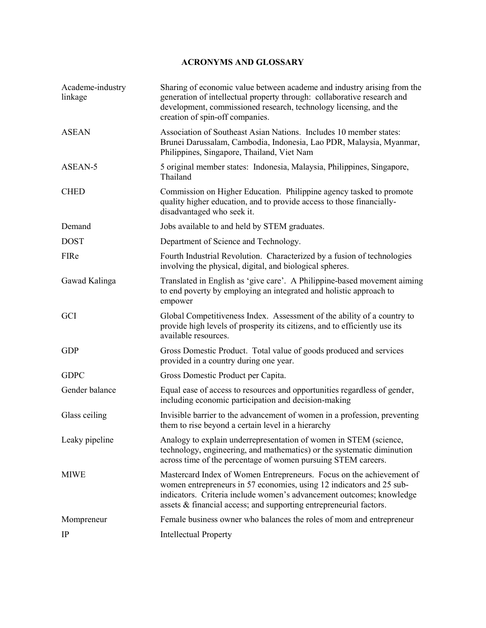### ACRONYMS AND GLOSSARY

| Academe-industry<br>linkage | Sharing of economic value between academe and industry arising from the<br>generation of intellectual property through: collaborative research and<br>development, commissioned research, technology licensing, and the<br>creation of spin-off companies.                                 |
|-----------------------------|--------------------------------------------------------------------------------------------------------------------------------------------------------------------------------------------------------------------------------------------------------------------------------------------|
| <b>ASEAN</b>                | Association of Southeast Asian Nations. Includes 10 member states:<br>Brunei Darussalam, Cambodia, Indonesia, Lao PDR, Malaysia, Myanmar,<br>Philippines, Singapore, Thailand, Viet Nam                                                                                                    |
| ASEAN-5                     | 5 original member states: Indonesia, Malaysia, Philippines, Singapore,<br>Thailand                                                                                                                                                                                                         |
| <b>CHED</b>                 | Commission on Higher Education. Philippine agency tasked to promote<br>quality higher education, and to provide access to those financially-<br>disadvantaged who seek it.                                                                                                                 |
| Demand                      | Jobs available to and held by STEM graduates.                                                                                                                                                                                                                                              |
| <b>DOST</b>                 | Department of Science and Technology.                                                                                                                                                                                                                                                      |
| FIRe                        | Fourth Industrial Revolution. Characterized by a fusion of technologies<br>involving the physical, digital, and biological spheres.                                                                                                                                                        |
| Gawad Kalinga               | Translated in English as 'give care'. A Philippine-based movement aiming<br>to end poverty by employing an integrated and holistic approach to<br>empower                                                                                                                                  |
| <b>GCI</b>                  | Global Competitiveness Index. Assessment of the ability of a country to<br>provide high levels of prosperity its citizens, and to efficiently use its<br>available resources.                                                                                                              |
| <b>GDP</b>                  | Gross Domestic Product. Total value of goods produced and services<br>provided in a country during one year.                                                                                                                                                                               |
| <b>GDPC</b>                 | Gross Domestic Product per Capita.                                                                                                                                                                                                                                                         |
| Gender balance              | Equal ease of access to resources and opportunities regardless of gender,<br>including economic participation and decision-making                                                                                                                                                          |
| Glass ceiling               | Invisible barrier to the advancement of women in a profession, preventing<br>them to rise beyond a certain level in a hierarchy                                                                                                                                                            |
| Leaky pipeline              | Analogy to explain underrepresentation of women in STEM (science,<br>technology, engineering, and mathematics) or the systematic diminution<br>across time of the percentage of women pursuing STEM careers.                                                                               |
| <b>MIWE</b>                 | Mastercard Index of Women Entrepreneurs. Focus on the achievement of<br>women entrepreneurs in 57 economies, using 12 indicators and 25 sub-<br>indicators. Criteria include women's advancement outcomes; knowledge<br>assets & financial access; and supporting entrepreneurial factors. |
| Mompreneur                  | Female business owner who balances the roles of mom and entrepreneur                                                                                                                                                                                                                       |
| $_{\rm IP}$                 | <b>Intellectual Property</b>                                                                                                                                                                                                                                                               |